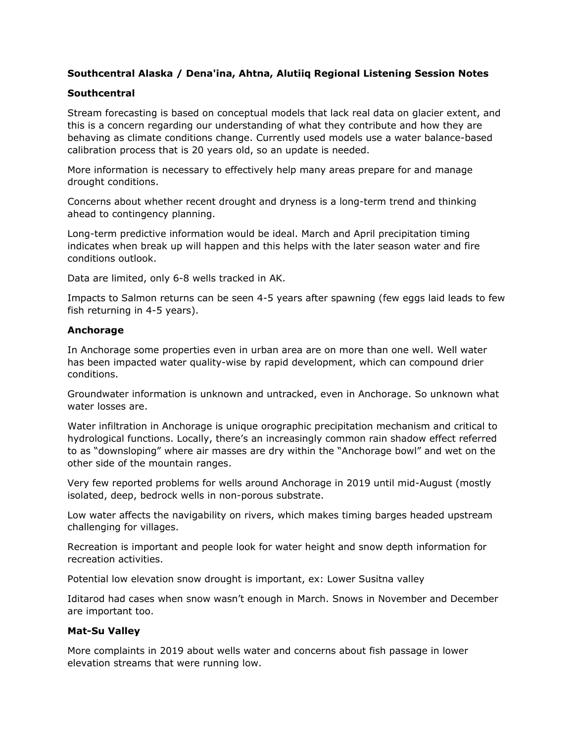# **Southcentral Alaska / Dena'ina, Ahtna, Alutiiq Regional Listening Session Notes**

### **Southcentral**

Stream forecasting is based on conceptual models that lack real data on glacier extent, and this is a concern regarding our understanding of what they contribute and how they are behaving as climate conditions change. Currently used models use a water balance-based calibration process that is 20 years old, so an update is needed.

More information is necessary to effectively help many areas prepare for and manage drought conditions.

Concerns about whether recent drought and dryness is a long-term trend and thinking ahead to contingency planning.

Long-term predictive information would be ideal. March and April precipitation timing indicates when break up will happen and this helps with the later season water and fire conditions outlook.

Data are limited, only 6-8 wells tracked in AK.

Impacts to Salmon returns can be seen 4-5 years after spawning (few eggs laid leads to few fish returning in 4-5 years).

### **Anchorage**

In Anchorage some properties even in urban area are on more than one well. Well water has been impacted water quality-wise by rapid development, which can compound drier conditions.

Groundwater information is unknown and untracked, even in Anchorage. So unknown what water losses are.

Water infiltration in Anchorage is unique orographic precipitation mechanism and critical to hydrological functions. Locally, there's an increasingly common rain shadow effect referred to as "downsloping" where air masses are dry within the "Anchorage bowl" and wet on the other side of the mountain ranges.

Very few reported problems for wells around Anchorage in 2019 until mid-August (mostly isolated, deep, bedrock wells in non-porous substrate.

Low water affects the navigability on rivers, which makes timing barges headed upstream challenging for villages.

Recreation is important and people look for water height and snow depth information for recreation activities.

Potential low elevation snow drought is important, ex: Lower Susitna valley

Iditarod had cases when snow wasn't enough in March. Snows in November and December are important too.

### **Mat-Su Valley**

More complaints in 2019 about wells water and concerns about fish passage in lower elevation streams that were running low.